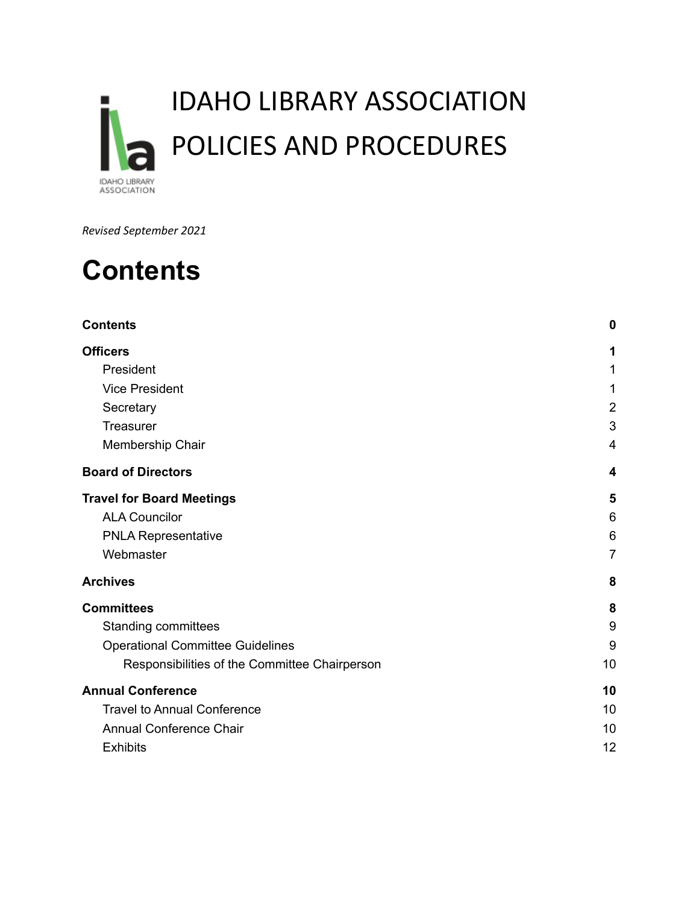

*Revised September 2021*

## <span id="page-0-0"></span>**Contents**

| <b>Contents</b>                               | 0              |
|-----------------------------------------------|----------------|
| <b>Officers</b>                               | 1              |
| President                                     | 1              |
| <b>Vice President</b>                         | 1              |
| Secretary                                     | $\overline{2}$ |
| Treasurer                                     | 3              |
| Membership Chair                              | $\overline{4}$ |
| <b>Board of Directors</b>                     | 4              |
| <b>Travel for Board Meetings</b>              | 5              |
| <b>ALA Councilor</b>                          | 6              |
| <b>PNLA Representative</b>                    | 6              |
| Webmaster                                     | 7              |
| <b>Archives</b>                               | 8              |
| <b>Committees</b>                             | 8              |
| <b>Standing committees</b>                    | 9              |
| <b>Operational Committee Guidelines</b>       | 9              |
| Responsibilities of the Committee Chairperson | 10             |
| <b>Annual Conference</b>                      | 10             |
| <b>Travel to Annual Conference</b>            | 10             |
| <b>Annual Conference Chair</b>                | 10             |
| <b>Exhibits</b>                               | 12             |
|                                               |                |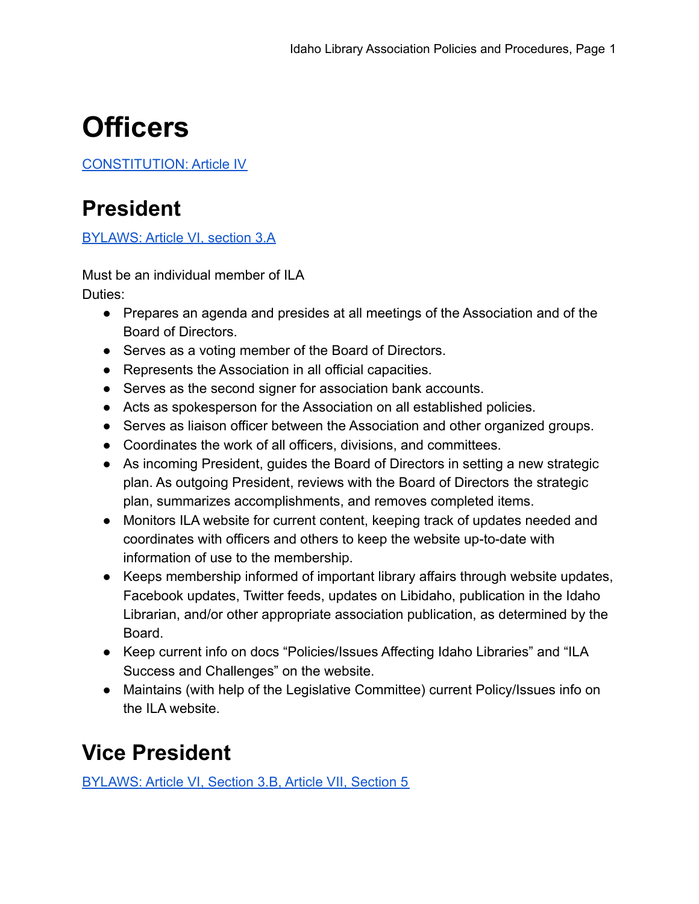# <span id="page-1-0"></span>**Officers**

<span id="page-1-1"></span>[CONSTITUTION: Article IV](https://docs.google.com/document/d/1vLI05bm5nosilCq7oAvNQ7xa7rFcJqGI/edit?usp=sharing&ouid=109512102002422768742&rtpof=true&sd=true)

### **President**

[BYLAWS: Article VI, section 3.A](https://docs.google.com/document/d/1fOdylBnzr6Z85Z4156O-IG0B8Y_dH4DN/edit?usp=sharing&ouid=109512102002422768742&rtpof=true&sd=true)

Must be an individual member of ILA Duties:

- Prepares an agenda and presides at all meetings of the Association and of the Board of Directors.
- Serves as a voting member of the Board of Directors.
- Represents the Association in all official capacities.
- Serves as the second signer for association bank accounts.
- Acts as spokesperson for the Association on all established policies.
- Serves as liaison officer between the Association and other organized groups.
- Coordinates the work of all officers, divisions, and committees.
- As incoming President, guides the Board of Directors in setting a new strategic plan. As outgoing President, reviews with the Board of Directors the strategic plan, summarizes accomplishments, and removes completed items.
- Monitors ILA website for current content, keeping track of updates needed and coordinates with officers and others to keep the website up-to-date with information of use to the membership.
- Keeps membership informed of important library affairs through website updates, Facebook updates, Twitter feeds, updates on Libidaho, publication in the Idaho Librarian, and/or other appropriate association publication, as determined by the Board.
- Keep current info on docs "Policies/Issues Affecting Idaho Libraries" and "ILA Success and Challenges" on the website.
- Maintains (with help of the Legislative Committee) current Policy/Issues info on the ILA website.

### <span id="page-1-2"></span>**Vice President**

[BYLAWS: Article VI, Section 3.B, Article VII, Section 5](https://docs.google.com/document/d/1fOdylBnzr6Z85Z4156O-IG0B8Y_dH4DN/edit?usp=sharing&ouid=109512102002422768742&rtpof=true&sd=true)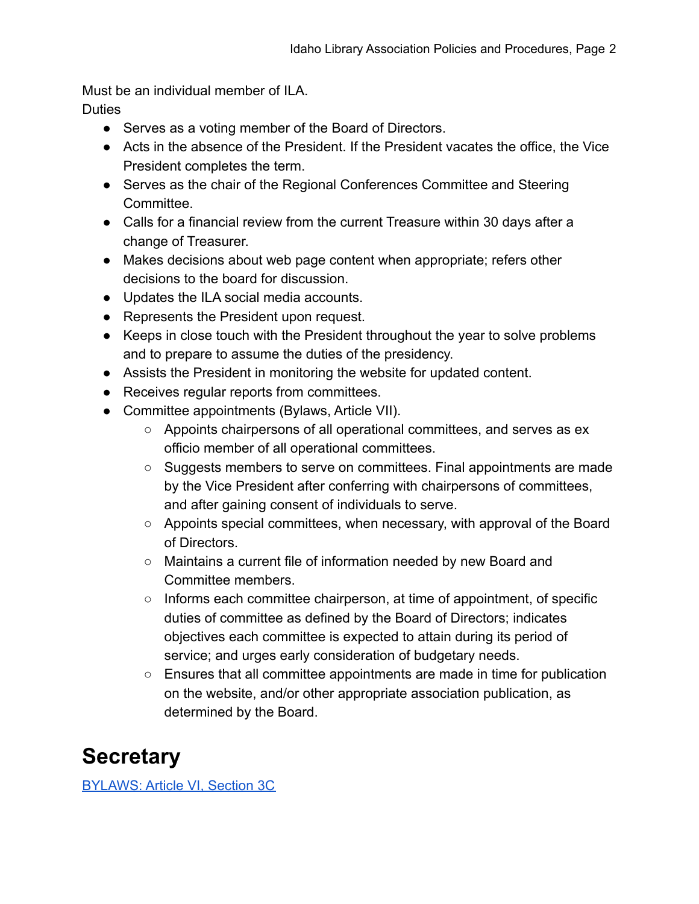Must be an individual member of ILA.

**Duties** 

- Serves as a voting member of the Board of Directors.
- Acts in the absence of the President. If the President vacates the office, the Vice President completes the term.
- Serves as the chair of the Regional Conferences Committee and Steering **Committee.**
- Calls for a financial review from the current Treasure within 30 days after a change of Treasurer.
- Makes decisions about web page content when appropriate; refers other decisions to the board for discussion.
- Updates the ILA social media accounts.
- Represents the President upon request.
- Keeps in close touch with the President throughout the year to solve problems and to prepare to assume the duties of the presidency.
- Assists the President in monitoring the website for updated content.
- Receives regular reports from committees.
- Committee appointments (Bylaws, Article VII).
	- Appoints chairpersons of all operational committees, and serves as ex officio member of all operational committees.
	- Suggests members to serve on committees. Final appointments are made by the Vice President after conferring with chairpersons of committees, and after gaining consent of individuals to serve.
	- Appoints special committees, when necessary, with approval of the Board of Directors.
	- Maintains a current file of information needed by new Board and Committee members.
	- Informs each committee chairperson, at time of appointment, of specific duties of committee as defined by the Board of Directors; indicates objectives each committee is expected to attain during its period of service; and urges early consideration of budgetary needs.
	- $\circ$  Ensures that all committee appointments are made in time for publication on the website, and/or other appropriate association publication, as determined by the Board.

### <span id="page-2-0"></span>**Secretary**

[BYLAWS: Article VI, Section 3C](https://docs.google.com/document/d/1fOdylBnzr6Z85Z4156O-IG0B8Y_dH4DN/edit?usp=sharing&ouid=109512102002422768742&rtpof=true&sd=true)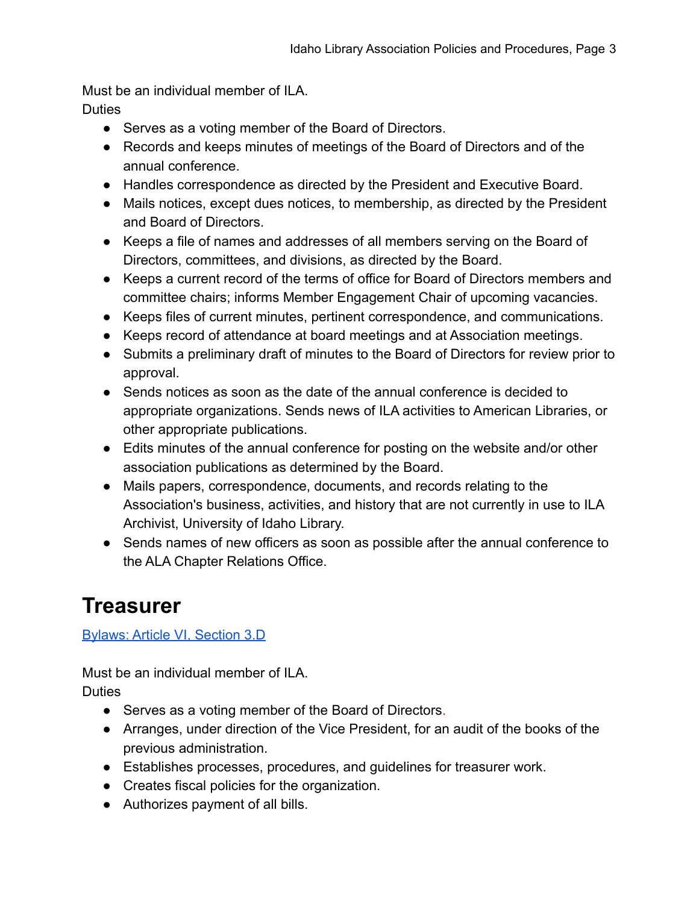Must be an individual member of ILA.

**Duties** 

- Serves as a voting member of the Board of Directors.
- Records and keeps minutes of meetings of the Board of Directors and of the annual conference.
- Handles correspondence as directed by the President and Executive Board.
- Mails notices, except dues notices, to membership, as directed by the President and Board of Directors.
- Keeps a file of names and addresses of all members serving on the Board of Directors, committees, and divisions, as directed by the Board.
- Keeps a current record of the terms of office for Board of Directors members and committee chairs; informs Member Engagement Chair of upcoming vacancies.
- Keeps files of current minutes, pertinent correspondence, and communications.
- Keeps record of attendance at board meetings and at Association meetings.
- Submits a preliminary draft of minutes to the Board of Directors for review prior to approval.
- Sends notices as soon as the date of the annual conference is decided to appropriate organizations. Sends news of ILA activities to American Libraries, or other appropriate publications.
- Edits minutes of the annual conference for posting on the website and/or other association publications as determined by the Board.
- Mails papers, correspondence, documents, and records relating to the Association's business, activities, and history that are not currently in use to ILA Archivist, University of Idaho Library.
- Sends names of new officers as soon as possible after the annual conference to the ALA Chapter Relations Office.

### <span id="page-3-0"></span>**Treasurer**

#### [Bylaws: Article VI, Section 3.D](https://docs.google.com/document/d/1fOdylBnzr6Z85Z4156O-IG0B8Y_dH4DN/edit?usp=sharing&ouid=109512102002422768742&rtpof=true&sd=true)

Must be an individual member of ILA.

**Duties** 

- Serves as a voting member of the Board of Directors.
- Arranges, under direction of the Vice President, for an audit of the books of the previous administration.
- Establishes processes, procedures, and guidelines for treasurer work.
- Creates fiscal policies for the organization.
- Authorizes payment of all bills.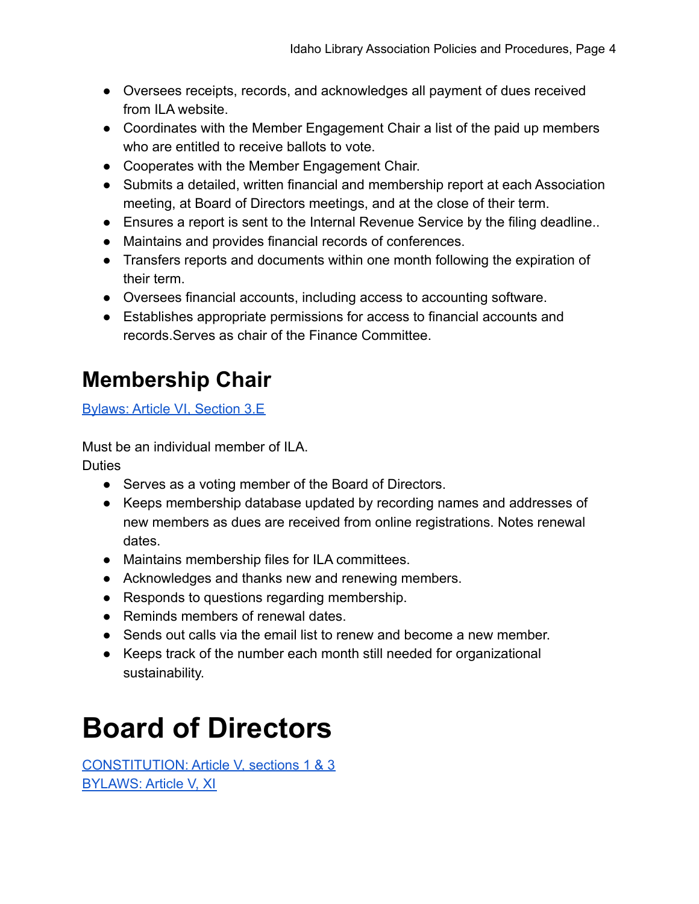- Oversees receipts, records, and acknowledges all payment of dues received from ILA website.
- Coordinates with the Member Engagement Chair a list of the paid up members who are entitled to receive ballots to vote.
- Cooperates with the Member Engagement Chair.
- Submits a detailed, written financial and membership report at each Association meeting, at Board of Directors meetings, and at the close of their term.
- Ensures a report is sent to the Internal Revenue Service by the filing deadline..
- Maintains and provides financial records of conferences.
- Transfers reports and documents within one month following the expiration of their term.
- Oversees financial accounts, including access to accounting software.
- Establishes appropriate permissions for access to financial accounts and records.Serves as chair of the Finance Committee.

## <span id="page-4-0"></span>**Membership Chair**

[Bylaws: Article VI, Section 3.E](https://docs.google.com/document/d/1fOdylBnzr6Z85Z4156O-IG0B8Y_dH4DN/edit?usp=sharing&ouid=109512102002422768742&rtpof=true&sd=true)

Must be an individual member of ILA.

**Duties** 

- Serves as a voting member of the Board of Directors.
- Keeps membership database updated by recording names and addresses of new members as dues are received from online registrations. Notes renewal dates.
- Maintains membership files for ILA committees.
- Acknowledges and thanks new and renewing members.
- Responds to questions regarding membership.
- Reminds members of renewal dates.
- Sends out calls via the email list to renew and become a new member.
- Keeps track of the number each month still needed for organizational sustainability.

# <span id="page-4-1"></span>**Board of Directors**

CONSTITUTION: [Article V, sections 1 & 3](https://docs.google.com/document/d/1vLI05bm5nosilCq7oAvNQ7xa7rFcJqGI/edit?usp=sharing&ouid=109512102002422768742&rtpof=true&sd=true) BYLAWS: [Article V, XI](https://docs.google.com/document/d/1fOdylBnzr6Z85Z4156O-IG0B8Y_dH4DN/edit?usp=sharing&ouid=109512102002422768742&rtpof=true&sd=true)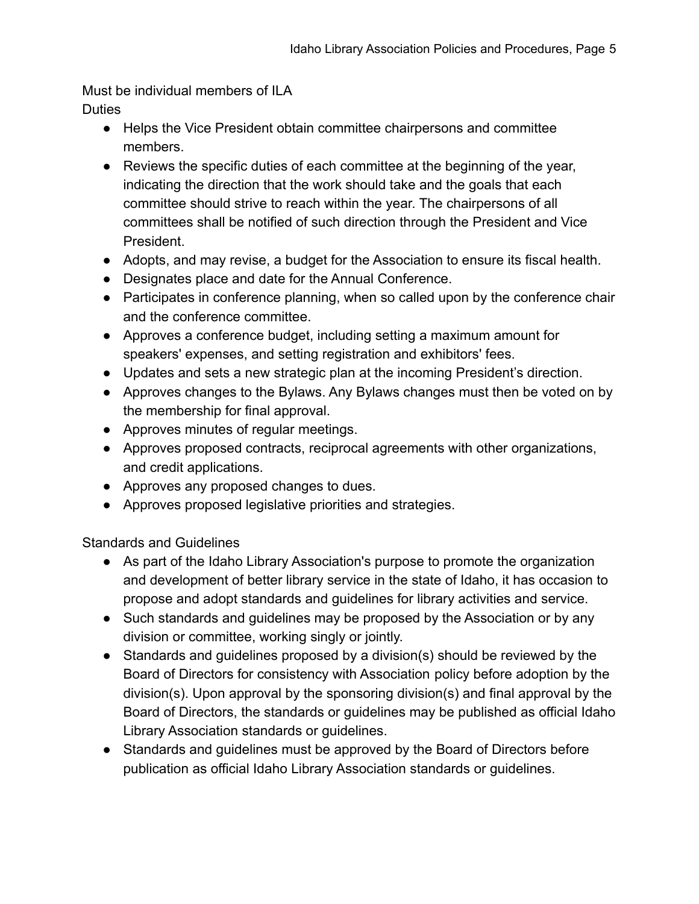Must be individual members of ILA

- **Duties** 
	- Helps the Vice President obtain committee chairpersons and committee members.
	- Reviews the specific duties of each committee at the beginning of the year, indicating the direction that the work should take and the goals that each committee should strive to reach within the year. The chairpersons of all committees shall be notified of such direction through the President and Vice President.
	- Adopts, and may revise, a budget for the Association to ensure its fiscal health.
	- Designates place and date for the Annual Conference.
	- Participates in conference planning, when so called upon by the conference chair and the conference committee.
	- Approves a conference budget, including setting a maximum amount for speakers' expenses, and setting registration and exhibitors' fees.
	- Updates and sets a new strategic plan at the incoming President's direction.
	- Approves changes to the Bylaws. Any Bylaws changes must then be voted on by the membership for final approval.
	- Approves minutes of regular meetings.
	- Approves proposed contracts, reciprocal agreements with other organizations, and credit applications.
	- Approves any proposed changes to dues.
	- Approves proposed legislative priorities and strategies.

Standards and Guidelines

- As part of the Idaho Library Association's purpose to promote the organization and development of better library service in the state of Idaho, it has occasion to propose and adopt standards and guidelines for library activities and service.
- Such standards and guidelines may be proposed by the Association or by any division or committee, working singly or jointly.
- Standards and guidelines proposed by a division(s) should be reviewed by the Board of Directors for consistency with Association policy before adoption by the division(s). Upon approval by the sponsoring division(s) and final approval by the Board of Directors, the standards or guidelines may be published as official Idaho Library Association standards or guidelines.
- Standards and guidelines must be approved by the Board of Directors before publication as official Idaho Library Association standards or guidelines.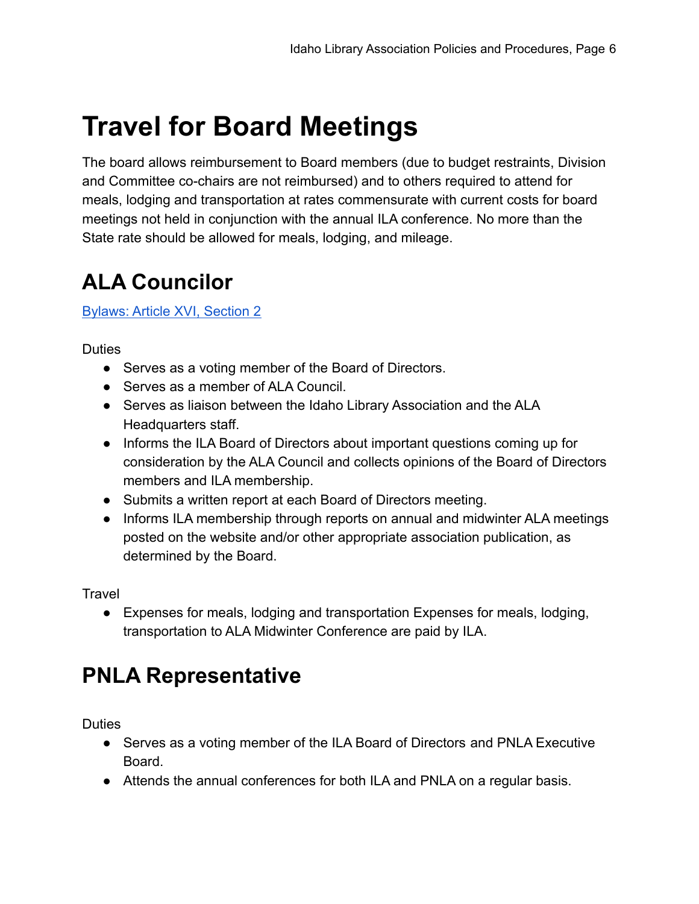## <span id="page-6-0"></span>**Travel for Board Meetings**

The board allows reimbursement to Board members (due to budget restraints, Division and Committee co-chairs are not reimbursed) and to others required to attend for meals, lodging and transportation at rates commensurate with current costs for board meetings not held in conjunction with the annual ILA conference. No more than the State rate should be allowed for meals, lodging, and mileage.

### <span id="page-6-1"></span>**ALA Councilor**

#### [Bylaws: Article XVI, Section 2](https://docs.google.com/document/d/1fOdylBnzr6Z85Z4156O-IG0B8Y_dH4DN/edit?usp=sharing&ouid=109512102002422768742&rtpof=true&sd=true)

**Duties** 

- Serves as a voting member of the Board of Directors.
- Serves as a member of ALA Council
- Serves as liaison between the Idaho Library Association and the ALA Headquarters staff.
- Informs the ILA Board of Directors about important questions coming up for consideration by the ALA Council and collects opinions of the Board of Directors members and ILA membership.
- Submits a written report at each Board of Directors meeting.
- Informs ILA membership through reports on annual and midwinter ALA meetings posted on the website and/or other appropriate association publication, as determined by the Board.

Travel

● Expenses for meals, lodging and transportation Expenses for meals, lodging, transportation to ALA Midwinter Conference are paid by ILA.

### <span id="page-6-2"></span>**PNLA Representative**

**Duties** 

- Serves as a voting member of the ILA Board of Directors and PNLA Executive Board.
- Attends the annual conferences for both ILA and PNLA on a regular basis.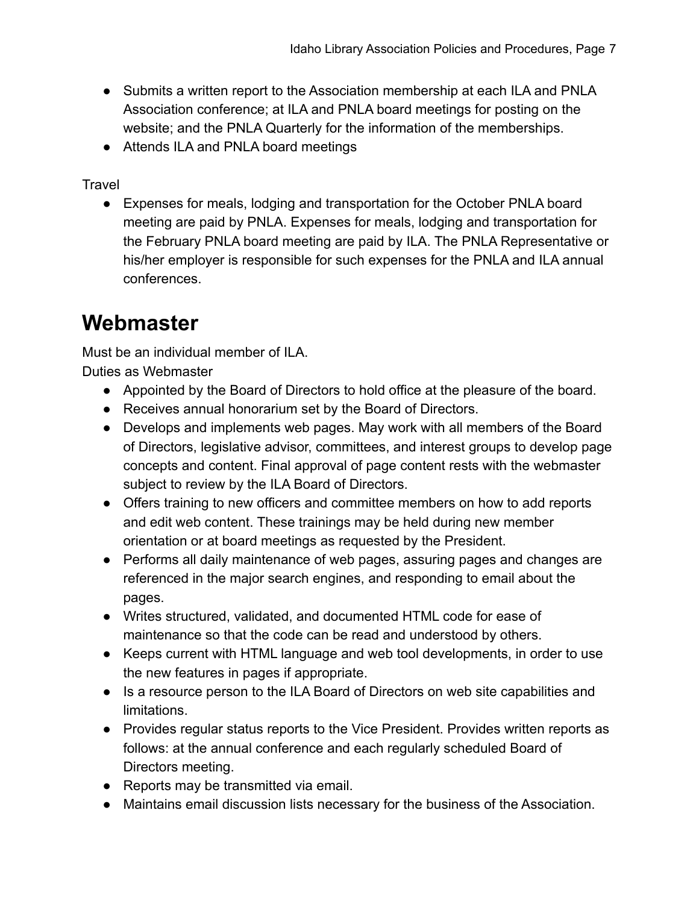- Submits a written report to the Association membership at each ILA and PNLA Association conference; at ILA and PNLA board meetings for posting on the website; and the PNLA Quarterly for the information of the memberships.
- Attends ILA and PNLA board meetings

Travel

● Expenses for meals, lodging and transportation for the October PNLA board meeting are paid by PNLA. Expenses for meals, lodging and transportation for the February PNLA board meeting are paid by ILA. The PNLA Representative or his/her employer is responsible for such expenses for the PNLA and ILA annual conferences.

### <span id="page-7-0"></span>**Webmaster**

Must be an individual member of ILA. Duties as Webmaster

- Appointed by the Board of Directors to hold office at the pleasure of the board.
- Receives annual honorarium set by the Board of Directors.
- Develops and implements web pages. May work with all members of the Board of Directors, legislative advisor, committees, and interest groups to develop page concepts and content. Final approval of page content rests with the webmaster subject to review by the ILA Board of Directors.
- Offers training to new officers and committee members on how to add reports and edit web content. These trainings may be held during new member orientation or at board meetings as requested by the President.
- Performs all daily maintenance of web pages, assuring pages and changes are referenced in the major search engines, and responding to email about the pages.
- Writes structured, validated, and documented HTML code for ease of maintenance so that the code can be read and understood by others.
- Keeps current with HTML language and web tool developments, in order to use the new features in pages if appropriate.
- Is a resource person to the ILA Board of Directors on web site capabilities and limitations.
- Provides regular status reports to the Vice President. Provides written reports as follows: at the annual conference and each regularly scheduled Board of Directors meeting.
- Reports may be transmitted via email.
- Maintains email discussion lists necessary for the business of the Association.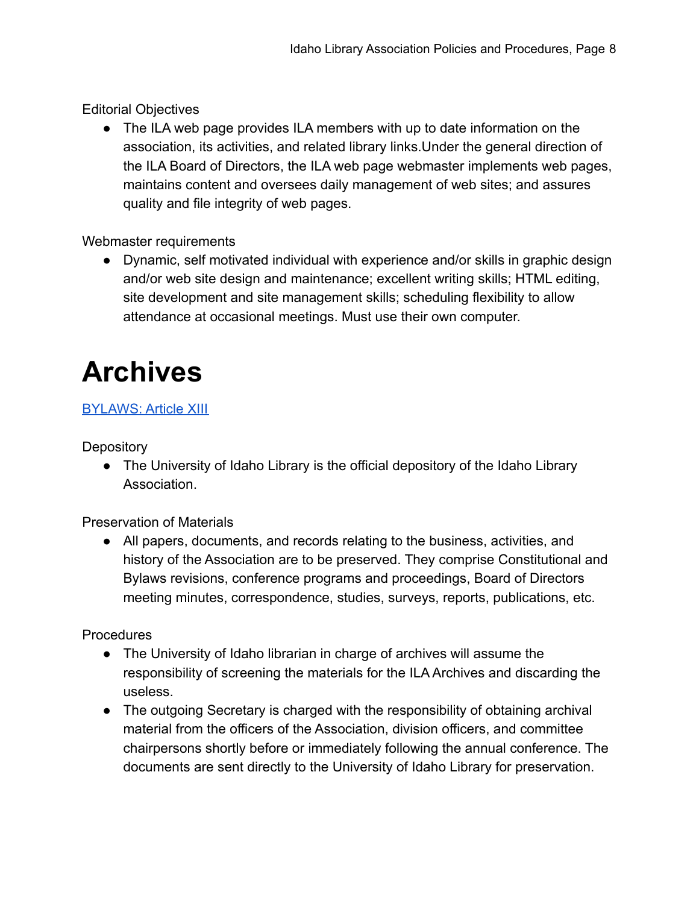Editorial Objectives

● The ILA web page provides ILA members with up to date information on the association, its activities, and related library links.Under the general direction of the ILA Board of Directors, the ILA web page webmaster implements web pages, maintains content and oversees daily management of web sites; and assures quality and file integrity of web pages.

#### Webmaster requirements

● Dynamic, self motivated individual with experience and/or skills in graphic design and/or web site design and maintenance; excellent writing skills; HTML editing, site development and site management skills; scheduling flexibility to allow attendance at occasional meetings. Must use their own computer.

## <span id="page-8-0"></span>**Archives**

#### **[BYLAWS: Article XIII](https://docs.google.com/document/d/1fOdylBnzr6Z85Z4156O-IG0B8Y_dH4DN/edit?usp=sharing&ouid=109512102002422768742&rtpof=true&sd=true)**

**Depository** 

● The University of Idaho Library is the official depository of the Idaho Library Association.

Preservation of Materials

● All papers, documents, and records relating to the business, activities, and history of the Association are to be preserved. They comprise Constitutional and Bylaws revisions, conference programs and proceedings, Board of Directors meeting minutes, correspondence, studies, surveys, reports, publications, etc.

Procedures

- The University of Idaho librarian in charge of archives will assume the responsibility of screening the materials for the ILA Archives and discarding the useless.
- The outgoing Secretary is charged with the responsibility of obtaining archival material from the officers of the Association, division officers, and committee chairpersons shortly before or immediately following the annual conference. The documents are sent directly to the University of Idaho Library for preservation.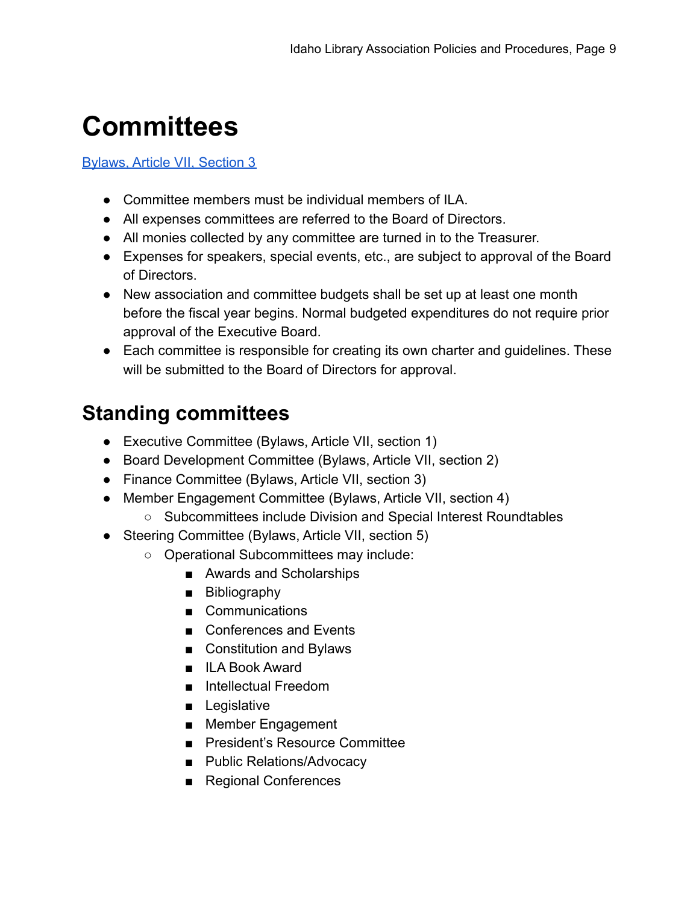## <span id="page-9-0"></span>**Committees**

#### [Bylaws, Article VII, Section 3](https://docs.google.com/document/d/1fOdylBnzr6Z85Z4156O-IG0B8Y_dH4DN/edit?usp=sharing&ouid=109512102002422768742&rtpof=true&sd=true)

- Committee members must be individual members of ILA.
- All expenses committees are referred to the Board of Directors.
- All monies collected by any committee are turned in to the Treasurer.
- Expenses for speakers, special events, etc., are subject to approval of the Board of Directors.
- New association and committee budgets shall be set up at least one month before the fiscal year begins. Normal budgeted expenditures do not require prior approval of the Executive Board.
- Each committee is responsible for creating its own charter and guidelines. These will be submitted to the Board of Directors for approval.

### <span id="page-9-1"></span>**Standing committees**

- Executive Committee (Bylaws, Article VII, section 1)
- Board Development Committee (Bylaws, Article VII, section 2)
- Finance Committee (Bylaws, Article VII, section 3)
- Member Engagement Committee (Bylaws, Article VII, section 4)
	- Subcommittees include Division and Special Interest Roundtables
- Steering Committee (Bylaws, Article VII, section 5)
	- Operational Subcommittees may include:
		- Awards and Scholarships
		- Bibliography
		- Communications
		- Conferences and Events
		- Constitution and Bylaws
		- ILA Book Award
		- Intellectual Freedom
		- Legislative
		- Member Engagement
		- President's Resource Committee
		- Public Relations/Advocacy
		- Regional Conferences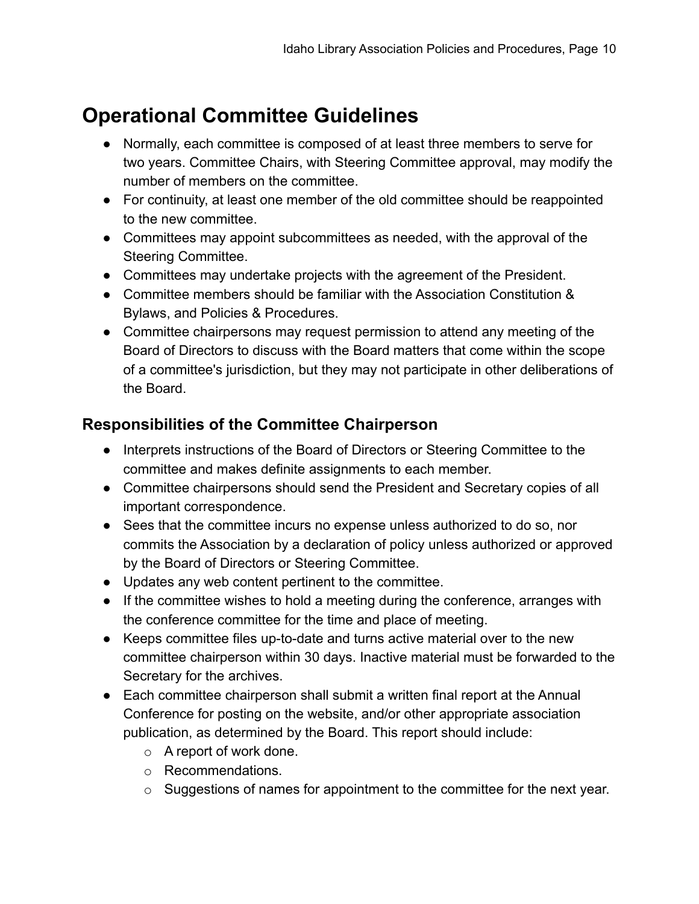### <span id="page-10-0"></span>**Operational Committee Guidelines**

- Normally, each committee is composed of at least three members to serve for two years. Committee Chairs, with Steering Committee approval, may modify the number of members on the committee.
- For continuity, at least one member of the old committee should be reappointed to the new committee.
- Committees may appoint subcommittees as needed, with the approval of the Steering Committee.
- Committees may undertake projects with the agreement of the President.
- Committee members should be familiar with the Association Constitution & Bylaws, and Policies & Procedures.
- Committee chairpersons may request permission to attend any meeting of the Board of Directors to discuss with the Board matters that come within the scope of a committee's jurisdiction, but they may not participate in other deliberations of the Board.

#### <span id="page-10-1"></span>**Responsibilities of the Committee Chairperson**

- Interprets instructions of the Board of Directors or Steering Committee to the committee and makes definite assignments to each member.
- Committee chairpersons should send the President and Secretary copies of all important correspondence.
- Sees that the committee incurs no expense unless authorized to do so, nor commits the Association by a declaration of policy unless authorized or approved by the Board of Directors or Steering Committee.
- Updates any web content pertinent to the committee.
- If the committee wishes to hold a meeting during the conference, arranges with the conference committee for the time and place of meeting.
- Keeps committee files up-to-date and turns active material over to the new committee chairperson within 30 days. Inactive material must be forwarded to the Secretary for the archives.
- Each committee chairperson shall submit a written final report at the Annual Conference for posting on the website, and/or other appropriate association publication, as determined by the Board. This report should include:
	- $\circ$  A report of work done.
	- o Recommendations.
	- o Suggestions of names for appointment to the committee for the next year.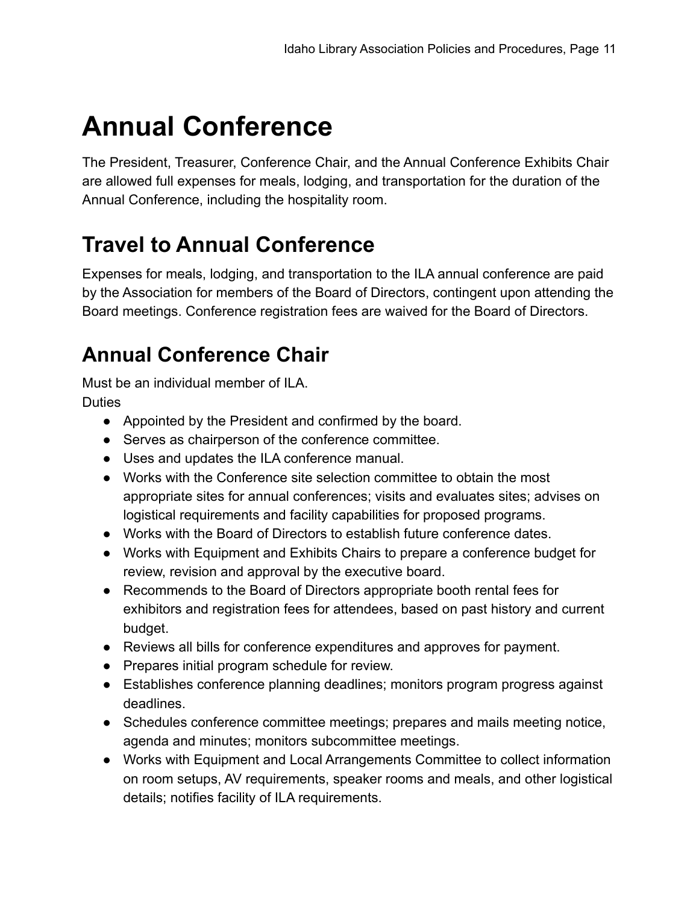## <span id="page-11-0"></span>**Annual Conference**

The President, Treasurer, Conference Chair, and the Annual Conference Exhibits Chair are allowed full expenses for meals, lodging, and transportation for the duration of the Annual Conference, including the hospitality room.

### <span id="page-11-1"></span>**Travel to Annual Conference**

Expenses for meals, lodging, and transportation to the ILA annual conference are paid by the Association for members of the Board of Directors, contingent upon attending the Board meetings. Conference registration fees are waived for the Board of Directors.

### <span id="page-11-2"></span>**Annual Conference Chair**

Must be an individual member of ILA. **Duties** 

- Appointed by the President and confirmed by the board.
- Serves as chairperson of the conference committee.
- Uses and updates the ILA conference manual.
- Works with the Conference site selection committee to obtain the most appropriate sites for annual conferences; visits and evaluates sites; advises on logistical requirements and facility capabilities for proposed programs.
- Works with the Board of Directors to establish future conference dates.
- Works with Equipment and Exhibits Chairs to prepare a conference budget for review, revision and approval by the executive board.
- Recommends to the Board of Directors appropriate booth rental fees for exhibitors and registration fees for attendees, based on past history and current budget.
- Reviews all bills for conference expenditures and approves for payment.
- Prepares initial program schedule for review.
- Establishes conference planning deadlines; monitors program progress against deadlines.
- Schedules conference committee meetings; prepares and mails meeting notice, agenda and minutes; monitors subcommittee meetings.
- Works with Equipment and Local Arrangements Committee to collect information on room setups, AV requirements, speaker rooms and meals, and other logistical details; notifies facility of ILA requirements.